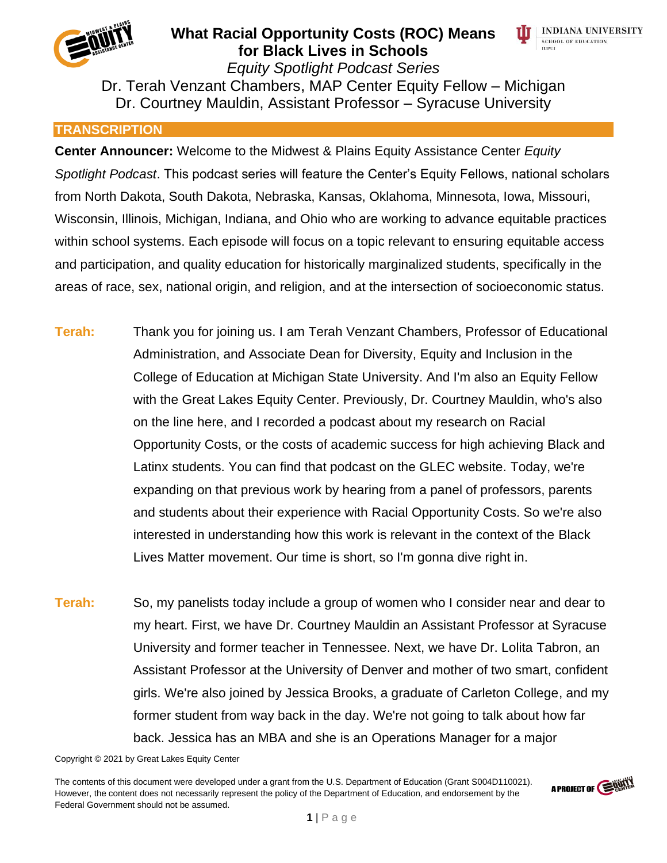



*Equity Spotlight Podcast Series* Dr. Terah Venzant Chambers, MAP Center Equity Fellow – Michigan Dr. Courtney Mauldin, Assistant Professor – Syracuse University

#### **TRANSCRIPTION**

**Center Announcer:** Welcome to the Midwest & Plains Equity Assistance Center *Equity Spotlight Podcast*. This podcast series will feature the Center's Equity Fellows, national scholars from North Dakota, South Dakota, Nebraska, Kansas, Oklahoma, Minnesota, Iowa, Missouri, Wisconsin, Illinois, Michigan, Indiana, and Ohio who are working to advance equitable practices within school systems. Each episode will focus on a topic relevant to ensuring equitable access and participation, and quality education for historically marginalized students, specifically in the areas of race, sex, national origin, and religion, and at the intersection of socioeconomic status.

- **Terah:** Thank you for joining us. I am Terah Venzant Chambers, Professor of Educational Administration, and Associate Dean for Diversity, Equity and Inclusion in the College of Education at Michigan State University. And I'm also an Equity Fellow with the Great Lakes Equity Center. Previously, Dr. Courtney Mauldin, who's also on the line here, and I recorded a podcast about my research on Racial Opportunity Costs, or the costs of academic success for high achieving Black and Latinx students. You can find that podcast on the GLEC website. Today, we're expanding on that previous work by hearing from a panel of professors, parents and students about their experience with Racial Opportunity Costs. So we're also interested in understanding how this work is relevant in the context of the Black Lives Matter movement. Our time is short, so I'm gonna dive right in.
- **Terah:** So, my panelists today include a group of women who I consider near and dear to my heart. First, we have Dr. Courtney Mauldin an Assistant Professor at Syracuse University and former teacher in Tennessee. Next, we have Dr. Lolita Tabron, an Assistant Professor at the University of Denver and mother of two smart, confident girls. We're also joined by Jessica Brooks, a graduate of Carleton College, and my former student from way back in the day. We're not going to talk about how far back. Jessica has an MBA and she is an Operations Manager for a major

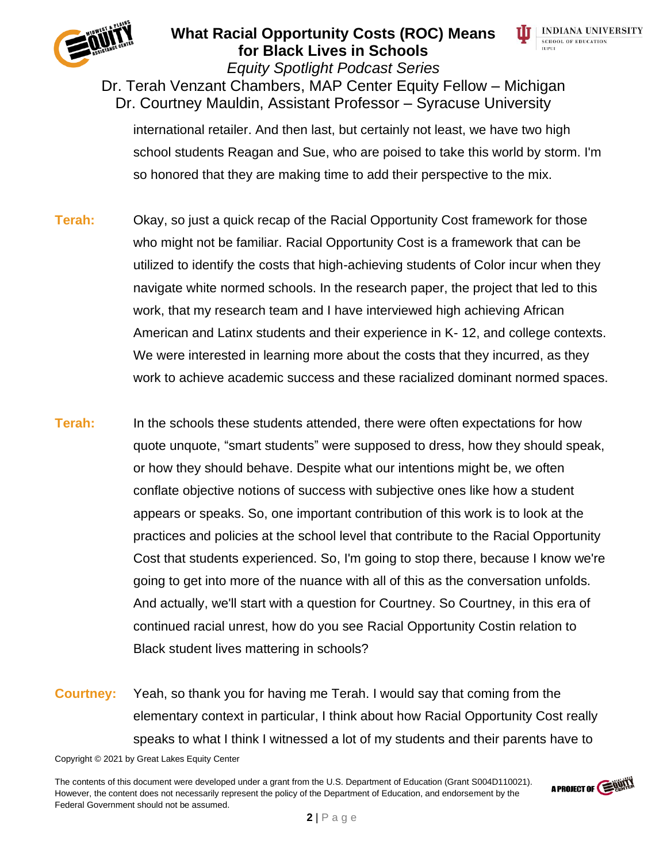



*Equity Spotlight Podcast Series* Dr. Terah Venzant Chambers, MAP Center Equity Fellow – Michigan Dr. Courtney Mauldin, Assistant Professor – Syracuse University

international retailer. And then last, but certainly not least, we have two high school students Reagan and Sue, who are poised to take this world by storm. I'm so honored that they are making time to add their perspective to the mix.

- **Terah:** Okay, so just a quick recap of the Racial Opportunity Cost framework for those who might not be familiar. Racial Opportunity Cost is a framework that can be utilized to identify the costs that high-achieving students of Color incur when they navigate white normed schools. In the research paper, the project that led to this work, that my research team and I have interviewed high achieving African American and Latinx students and their experience in K- 12, and college contexts. We were interested in learning more about the costs that they incurred, as they work to achieve academic success and these racialized dominant normed spaces.
- **Terah:** In the schools these students attended, there were often expectations for how quote unquote, "smart students" were supposed to dress, how they should speak, or how they should behave. Despite what our intentions might be, we often conflate objective notions of success with subjective ones like how a student appears or speaks. So, one important contribution of this work is to look at the practices and policies at the school level that contribute to the Racial Opportunity Cost that students experienced. So, I'm going to stop there, because I know we're going to get into more of the nuance with all of this as the conversation unfolds. And actually, we'll start with a question for Courtney. So Courtney, in this era of continued racial unrest, how do you see Racial Opportunity Costin relation to Black student lives mattering in schools?
- **Courtney:** Yeah, so thank you for having me Terah. I would say that coming from the elementary context in particular, I think about how Racial Opportunity Cost really speaks to what I think I witnessed a lot of my students and their parents have to

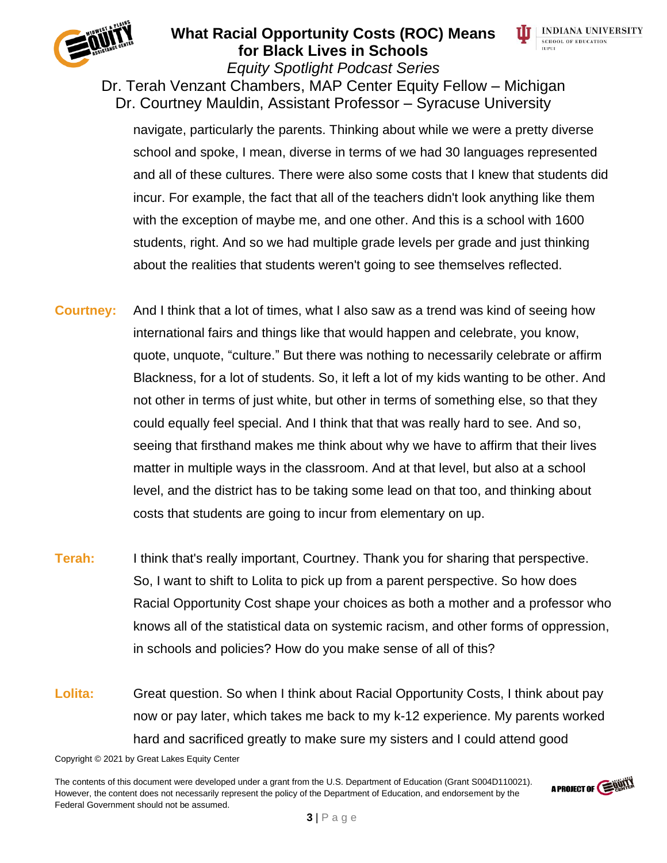

#### **What Racial Opportunity Costs (ROC) Means for Black Lives in Schools** *Equity Spotlight Podcast Series*



Dr. Terah Venzant Chambers, MAP Center Equity Fellow – Michigan Dr. Courtney Mauldin, Assistant Professor – Syracuse University

navigate, particularly the parents. Thinking about while we were a pretty diverse school and spoke, I mean, diverse in terms of we had 30 languages represented and all of these cultures. There were also some costs that I knew that students did incur. For example, the fact that all of the teachers didn't look anything like them with the exception of maybe me, and one other. And this is a school with 1600 students, right. And so we had multiple grade levels per grade and just thinking about the realities that students weren't going to see themselves reflected.

- **Courtney:** And I think that a lot of times, what I also saw as a trend was kind of seeing how international fairs and things like that would happen and celebrate, you know, quote, unquote, "culture." But there was nothing to necessarily celebrate or affirm Blackness, for a lot of students. So, it left a lot of my kids wanting to be other. And not other in terms of just white, but other in terms of something else, so that they could equally feel special. And I think that that was really hard to see. And so, seeing that firsthand makes me think about why we have to affirm that their lives matter in multiple ways in the classroom. And at that level, but also at a school level, and the district has to be taking some lead on that too, and thinking about costs that students are going to incur from elementary on up.
- **Terah:** I think that's really important, Courtney. Thank you for sharing that perspective. So, I want to shift to Lolita to pick up from a parent perspective. So how does Racial Opportunity Cost shape your choices as both a mother and a professor who knows all of the statistical data on systemic racism, and other forms of oppression, in schools and policies? How do you make sense of all of this?
- **Lolita:** Great question. So when I think about Racial Opportunity Costs, I think about pay now or pay later, which takes me back to my k-12 experience. My parents worked hard and sacrificed greatly to make sure my sisters and I could attend good

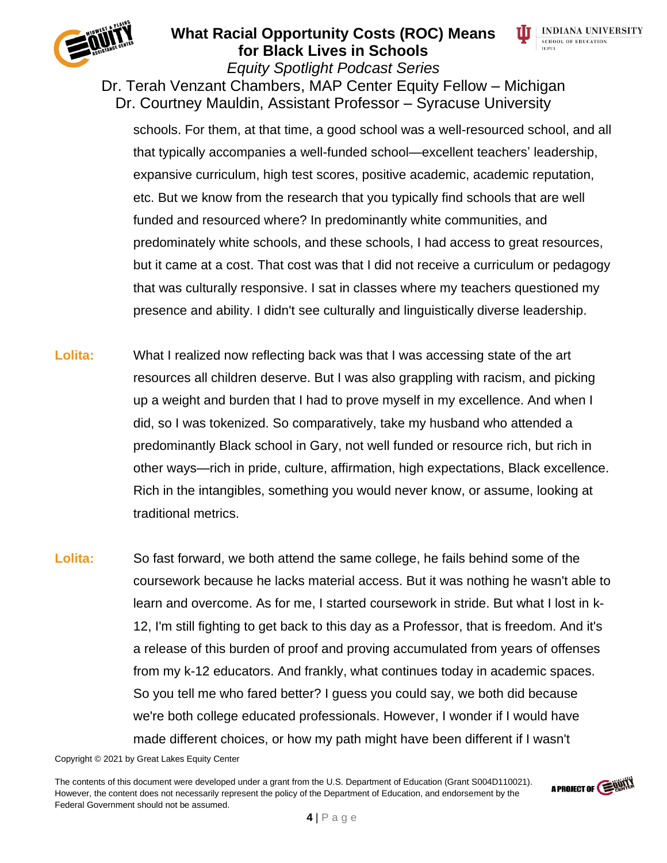

#### **What Racial Opportunity Costs (ROC) Means for Black Lives in Schools** *Equity Spotlight Podcast Series*



Dr. Terah Venzant Chambers, MAP Center Equity Fellow – Michigan Dr. Courtney Mauldin, Assistant Professor – Syracuse University

schools. For them, at that time, a good school was a well-resourced school, and all that typically accompanies a well-funded school—excellent teachers' leadership, expansive curriculum, high test scores, positive academic, academic reputation, etc. But we know from the research that you typically find schools that are well funded and resourced where? In predominantly white communities, and predominately white schools, and these schools, I had access to great resources, but it came at a cost. That cost was that I did not receive a curriculum or pedagogy that was culturally responsive. I sat in classes where my teachers questioned my presence and ability. I didn't see culturally and linguistically diverse leadership.

- Lolita: What I realized now reflecting back was that I was accessing state of the art resources all children deserve. But I was also grappling with racism, and picking up a weight and burden that I had to prove myself in my excellence. And when I did, so I was tokenized. So comparatively, take my husband who attended a predominantly Black school in Gary, not well funded or resource rich, but rich in other ways—rich in pride, culture, affirmation, high expectations, Black excellence. Rich in the intangibles, something you would never know, or assume, looking at traditional metrics.
- **Lolita:** So fast forward, we both attend the same college, he fails behind some of the coursework because he lacks material access. But it was nothing he wasn't able to learn and overcome. As for me, I started coursework in stride. But what I lost in k-12, I'm still fighting to get back to this day as a Professor, that is freedom. And it's a release of this burden of proof and proving accumulated from years of offenses from my k-12 educators. And frankly, what continues today in academic spaces. So you tell me who fared better? I guess you could say, we both did because we're both college educated professionals. However, I wonder if I would have made different choices, or how my path might have been different if I wasn't

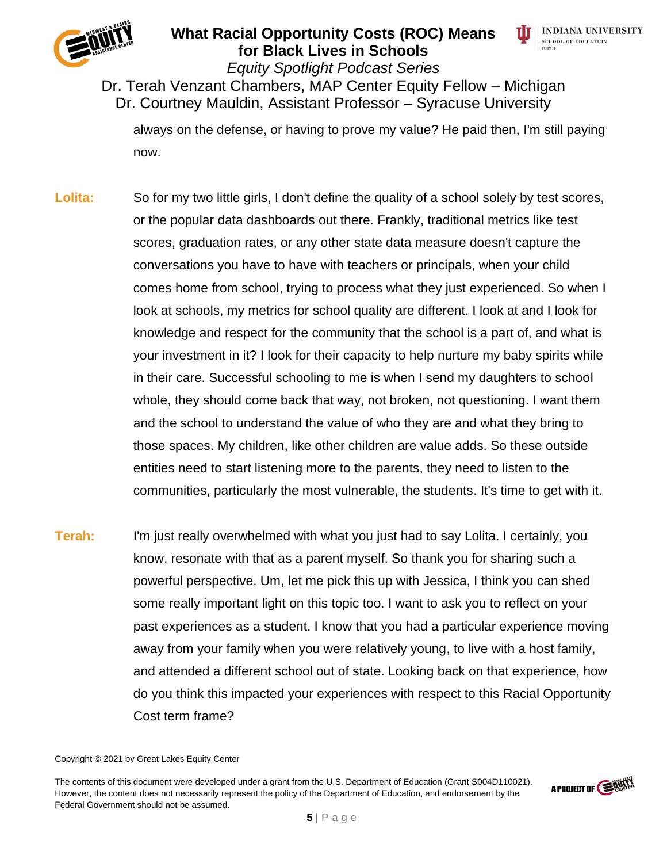



*Equity Spotlight Podcast Series*

### Dr. Terah Venzant Chambers, MAP Center Equity Fellow – Michigan Dr. Courtney Mauldin, Assistant Professor – Syracuse University

always on the defense, or having to prove my value? He paid then, I'm still paying now.

- Lolita: So for my two little girls, I don't define the quality of a school solely by test scores, or the popular data dashboards out there. Frankly, traditional metrics like test scores, graduation rates, or any other state data measure doesn't capture the conversations you have to have with teachers or principals, when your child comes home from school, trying to process what they just experienced. So when I look at schools, my metrics for school quality are different. I look at and I look for knowledge and respect for the community that the school is a part of, and what is your investment in it? I look for their capacity to help nurture my baby spirits while in their care. Successful schooling to me is when I send my daughters to school whole, they should come back that way, not broken, not questioning. I want them and the school to understand the value of who they are and what they bring to those spaces. My children, like other children are value adds. So these outside entities need to start listening more to the parents, they need to listen to the communities, particularly the most vulnerable, the students. It's time to get with it.
- **Terah:** I'm just really overwhelmed with what you just had to say Lolita. I certainly, you know, resonate with that as a parent myself. So thank you for sharing such a powerful perspective. Um, let me pick this up with Jessica, I think you can shed some really important light on this topic too. I want to ask you to reflect on your past experiences as a student. I know that you had a particular experience moving away from your family when you were relatively young, to live with a host family, and attended a different school out of state. Looking back on that experience, how do you think this impacted your experiences with respect to this Racial Opportunity Cost term frame?

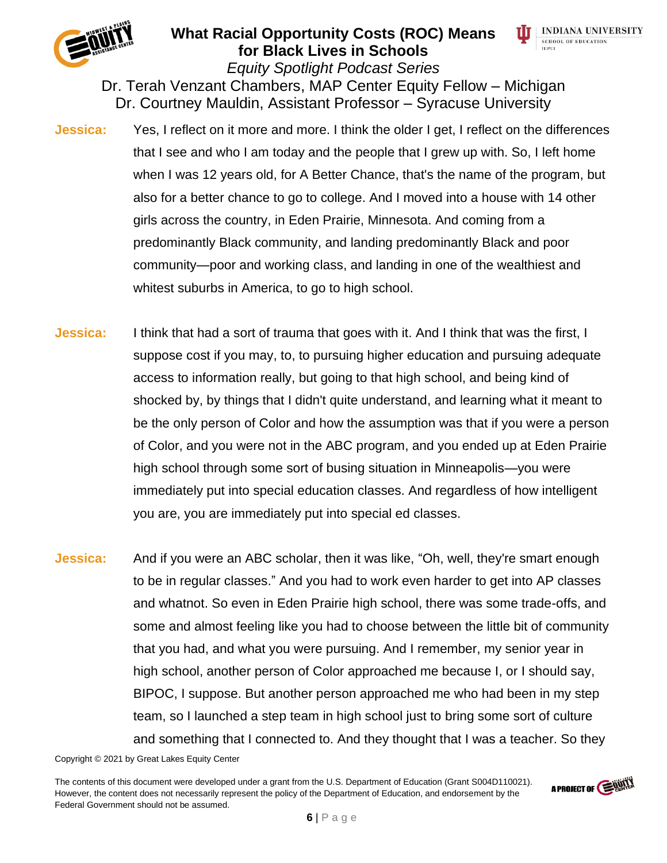



*Equity Spotlight Podcast Series* Dr. Terah Venzant Chambers, MAP Center Equity Fellow – Michigan Dr. Courtney Mauldin, Assistant Professor – Syracuse University

- **Jessica:** Yes, I reflect on it more and more. I think the older I get, I reflect on the differences that I see and who I am today and the people that I grew up with. So, I left home when I was 12 years old, for A Better Chance, that's the name of the program, but also for a better chance to go to college. And I moved into a house with 14 other girls across the country, in Eden Prairie, Minnesota. And coming from a predominantly Black community, and landing predominantly Black and poor community—poor and working class, and landing in one of the wealthiest and whitest suburbs in America, to go to high school.
- **Jessica:** I think that had a sort of trauma that goes with it. And I think that was the first, I suppose cost if you may, to, to pursuing higher education and pursuing adequate access to information really, but going to that high school, and being kind of shocked by, by things that I didn't quite understand, and learning what it meant to be the only person of Color and how the assumption was that if you were a person of Color, and you were not in the ABC program, and you ended up at Eden Prairie high school through some sort of busing situation in Minneapolis—you were immediately put into special education classes. And regardless of how intelligent you are, you are immediately put into special ed classes.
- **Jessica:** And if you were an ABC scholar, then it was like, "Oh, well, they're smart enough to be in regular classes." And you had to work even harder to get into AP classes and whatnot. So even in Eden Prairie high school, there was some trade-offs, and some and almost feeling like you had to choose between the little bit of community that you had, and what you were pursuing. And I remember, my senior year in high school, another person of Color approached me because I, or I should say, BIPOC, I suppose. But another person approached me who had been in my step team, so I launched a step team in high school just to bring some sort of culture and something that I connected to. And they thought that I was a teacher. So they

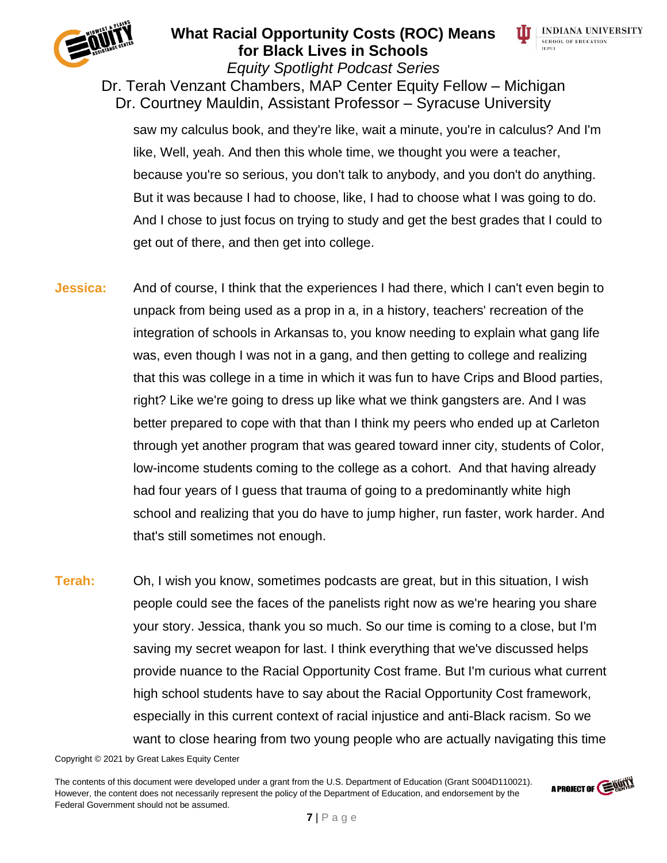



*Equity Spotlight Podcast Series* Dr. Terah Venzant Chambers, MAP Center Equity Fellow – Michigan Dr. Courtney Mauldin, Assistant Professor – Syracuse University

saw my calculus book, and they're like, wait a minute, you're in calculus? And I'm like, Well, yeah. And then this whole time, we thought you were a teacher, because you're so serious, you don't talk to anybody, and you don't do anything. But it was because I had to choose, like, I had to choose what I was going to do. And I chose to just focus on trying to study and get the best grades that I could to get out of there, and then get into college.

- **Jessica:** And of course, I think that the experiences I had there, which I can't even begin to unpack from being used as a prop in a, in a history, teachers' recreation of the integration of schools in Arkansas to, you know needing to explain what gang life was, even though I was not in a gang, and then getting to college and realizing that this was college in a time in which it was fun to have Crips and Blood parties, right? Like we're going to dress up like what we think gangsters are. And I was better prepared to cope with that than I think my peers who ended up at Carleton through yet another program that was geared toward inner city, students of Color, low-income students coming to the college as a cohort. And that having already had four years of I guess that trauma of going to a predominantly white high school and realizing that you do have to jump higher, run faster, work harder. And that's still sometimes not enough.
- **Terah:** Oh, I wish you know, sometimes podcasts are great, but in this situation, I wish people could see the faces of the panelists right now as we're hearing you share your story. Jessica, thank you so much. So our time is coming to a close, but I'm saving my secret weapon for last. I think everything that we've discussed helps provide nuance to the Racial Opportunity Cost frame. But I'm curious what current high school students have to say about the Racial Opportunity Cost framework, especially in this current context of racial injustice and anti-Black racism. So we want to close hearing from two young people who are actually navigating this time

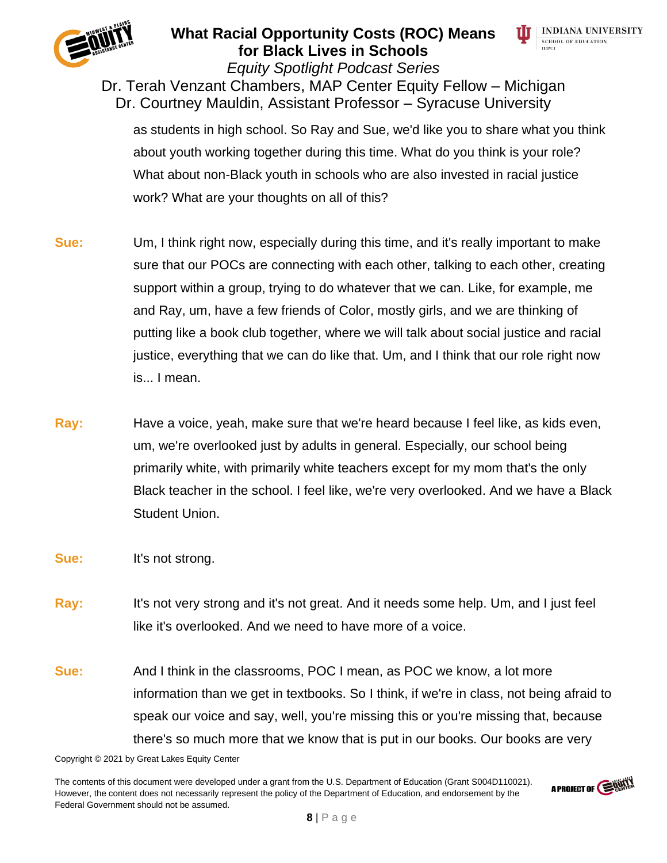



*Equity Spotlight Podcast Series* Dr. Terah Venzant Chambers, MAP Center Equity Fellow – Michigan Dr. Courtney Mauldin, Assistant Professor – Syracuse University

as students in high school. So Ray and Sue, we'd like you to share what you think about youth working together during this time. What do you think is your role? What about non-Black youth in schools who are also invested in racial justice work? What are your thoughts on all of this?

- **Sue:** Um, I think right now, especially during this time, and it's really important to make sure that our POCs are connecting with each other, talking to each other, creating support within a group, trying to do whatever that we can. Like, for example, me and Ray, um, have a few friends of Color, mostly girls, and we are thinking of putting like a book club together, where we will talk about social justice and racial justice, everything that we can do like that. Um, and I think that our role right now is... I mean.
- **Ray:** Have a voice, yeah, make sure that we're heard because I feel like, as kids even, um, we're overlooked just by adults in general. Especially, our school being primarily white, with primarily white teachers except for my mom that's the only Black teacher in the school. I feel like, we're very overlooked. And we have a Black Student Union.
- **Sue:** It's not strong.
- **Ray:** It's not very strong and it's not great. And it needs some help. Um, and I just feel like it's overlooked. And we need to have more of a voice.
- **Sue:** And I think in the classrooms, POC I mean, as POC we know, a lot more information than we get in textbooks. So I think, if we're in class, not being afraid to speak our voice and say, well, you're missing this or you're missing that, because there's so much more that we know that is put in our books. Our books are very

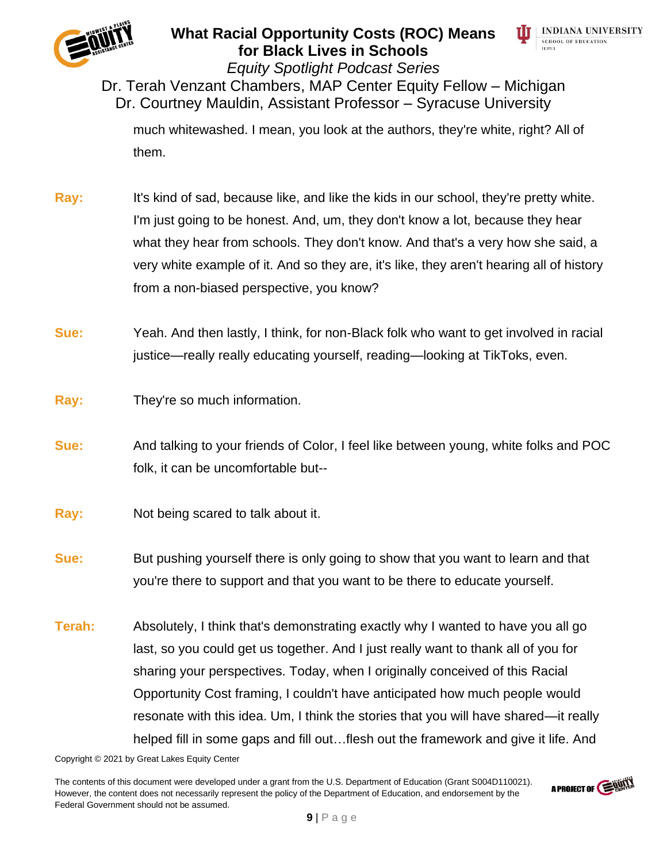



*Equity Spotlight Podcast Series*

Dr. Terah Venzant Chambers, MAP Center Equity Fellow – Michigan Dr. Courtney Mauldin, Assistant Professor – Syracuse University

much whitewashed. I mean, you look at the authors, they're white, right? All of them.

- **Ray:** It's kind of sad, because like, and like the kids in our school, they're pretty white. I'm just going to be honest. And, um, they don't know a lot, because they hear what they hear from schools. They don't know. And that's a very how she said, a very white example of it. And so they are, it's like, they aren't hearing all of history from a non-biased perspective, you know?
- **Sue:** Yeah. And then lastly, I think, for non-Black folk who want to get involved in racial justice—really really educating yourself, reading—looking at TikToks, even.
- **Ray:** They're so much information.
- **Sue:** And talking to your friends of Color, I feel like between young, white folks and POC folk, it can be uncomfortable but--
- **Ray:** Not being scared to talk about it.
- **Sue:** But pushing yourself there is only going to show that you want to learn and that you're there to support and that you want to be there to educate yourself.
- **Terah:** Absolutely, I think that's demonstrating exactly why I wanted to have you all go last, so you could get us together. And I just really want to thank all of you for sharing your perspectives. Today, when I originally conceived of this Racial Opportunity Cost framing, I couldn't have anticipated how much people would resonate with this idea. Um, I think the stories that you will have shared—it really helped fill in some gaps and fill out…flesh out the framework and give it life. And

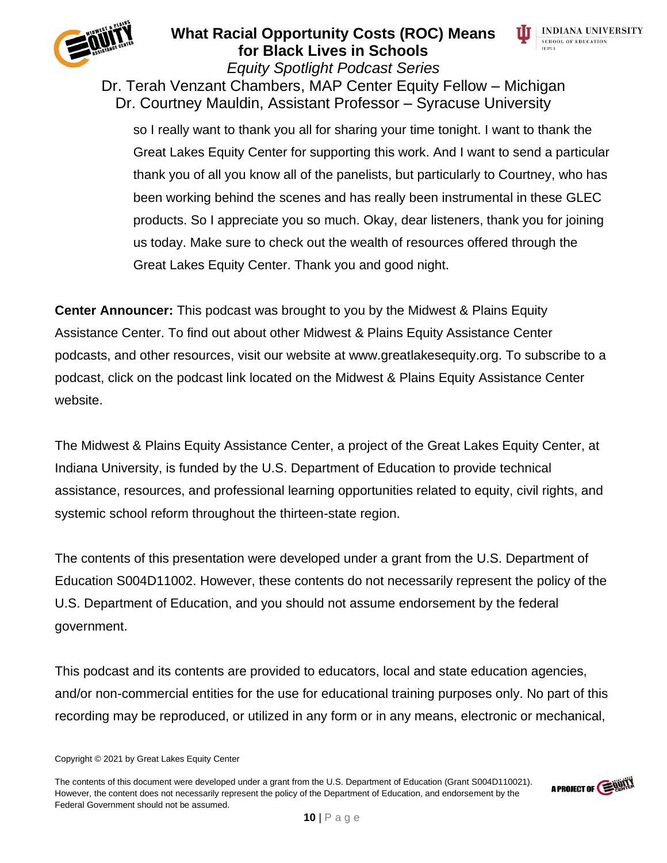



*Equity Spotlight Podcast Series* Dr. Terah Venzant Chambers, MAP Center Equity Fellow – Michigan Dr. Courtney Mauldin, Assistant Professor – Syracuse University

so I really want to thank you all for sharing your time tonight. I want to thank the Great Lakes Equity Center for supporting this work. And I want to send a particular thank you of all you know all of the panelists, but particularly to Courtney, who has been working behind the scenes and has really been instrumental in these GLEC products. So I appreciate you so much. Okay, dear listeners, thank you for joining us today. Make sure to check out the wealth of resources offered through the Great Lakes Equity Center. Thank you and good night.

**Center Announcer:** This podcast was brought to you by the Midwest & Plains Equity Assistance Center. To find out about other Midwest & Plains Equity Assistance Center podcasts, and other resources, visit our website at www.greatlakesequity.org. To subscribe to a podcast, click on the podcast link located on the Midwest & Plains Equity Assistance Center website.

The Midwest & Plains Equity Assistance Center, a project of the Great Lakes Equity Center, at Indiana University, is funded by the U.S. Department of Education to provide technical assistance, resources, and professional learning opportunities related to equity, civil rights, and systemic school reform throughout the thirteen-state region.

The contents of this presentation were developed under a grant from the U.S. Department of Education S004D11002. However, these contents do not necessarily represent the policy of the U.S. Department of Education, and you should not assume endorsement by the federal government.

This podcast and its contents are provided to educators, local and state education agencies, and/or non-commercial entities for the use for educational training purposes only. No part of this recording may be reproduced, or utilized in any form or in any means, electronic or mechanical,



Copyright © 2021 by Great Lakes Equity Center